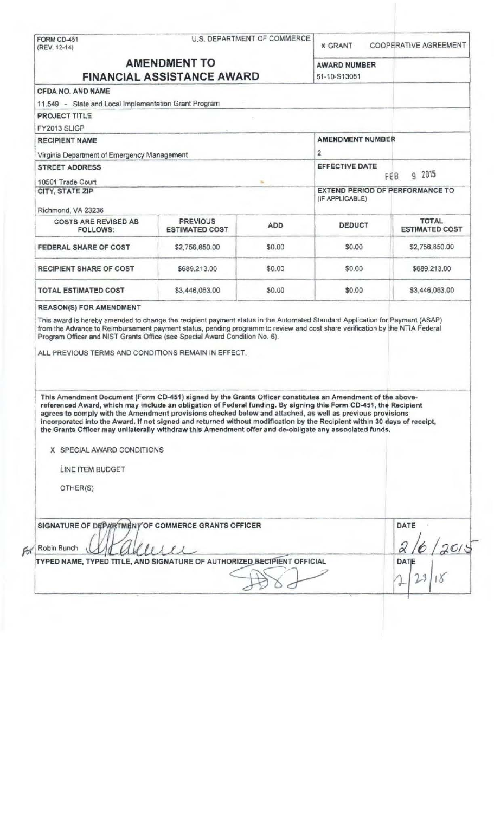|                                                                                                                                                                                                                                                                                                                                                                                                                                                                        | U.S. DEPARTMENT OF COMMERCE<br>FORM CD-451<br>(REV. 12-14) |                         | <b>X GRANT</b>                                            | <b>COOPERATIVE AGREEMENT</b>   |
|------------------------------------------------------------------------------------------------------------------------------------------------------------------------------------------------------------------------------------------------------------------------------------------------------------------------------------------------------------------------------------------------------------------------------------------------------------------------|------------------------------------------------------------|-------------------------|-----------------------------------------------------------|--------------------------------|
|                                                                                                                                                                                                                                                                                                                                                                                                                                                                        | <b>AMENDMENT TO</b>                                        |                         |                                                           |                                |
| <b>FINANCIAL ASSISTANCE AWARD</b>                                                                                                                                                                                                                                                                                                                                                                                                                                      |                                                            |                         | <b>AWARD NUMBER</b><br>51-10-S13051                       |                                |
| <b>CFDA NO. AND NAME</b>                                                                                                                                                                                                                                                                                                                                                                                                                                               |                                                            |                         |                                                           |                                |
| 11.549 - State and Local Implementation Grant Program                                                                                                                                                                                                                                                                                                                                                                                                                  |                                                            |                         |                                                           |                                |
| <b>PROJECT TITLE</b>                                                                                                                                                                                                                                                                                                                                                                                                                                                   |                                                            |                         |                                                           |                                |
| FY2013 SLIGP                                                                                                                                                                                                                                                                                                                                                                                                                                                           |                                                            |                         |                                                           |                                |
| <b>RECIPIENT NAME</b>                                                                                                                                                                                                                                                                                                                                                                                                                                                  |                                                            | <b>AMENDMENT NUMBER</b> |                                                           |                                |
| Virginia Department of Emergency Management                                                                                                                                                                                                                                                                                                                                                                                                                            |                                                            | $\overline{2}$          |                                                           |                                |
| <b>STREET ADDRESS</b>                                                                                                                                                                                                                                                                                                                                                                                                                                                  |                                                            |                         | <b>EFFECTIVE DATE</b>                                     | g 2015                         |
| 10501 Trade Court                                                                                                                                                                                                                                                                                                                                                                                                                                                      |                                                            |                         | FEB                                                       |                                |
| CITY, STATE ZIP                                                                                                                                                                                                                                                                                                                                                                                                                                                        |                                                            |                         | <b>EXTEND PERIOD OF PERFORMANCE TO</b><br>(IF APPLICABLE) |                                |
| Richmond, VA 23236                                                                                                                                                                                                                                                                                                                                                                                                                                                     |                                                            |                         |                                                           |                                |
| <b>COSTS ARE REVISED AS</b><br>FOLLOWS:                                                                                                                                                                                                                                                                                                                                                                                                                                | <b>PREVIOUS</b><br><b>ESTIMATED COST</b>                   | <b>ADD</b>              | DEDUCT                                                    | TOTAL<br><b>ESTIMATED COST</b> |
| FEDERAL SHARE OF COST                                                                                                                                                                                                                                                                                                                                                                                                                                                  | \$2,756,850.00                                             | \$0.00                  | \$0.00                                                    | \$2,756,850.00                 |
| <b>RECIPIENT SHARE OF COST</b>                                                                                                                                                                                                                                                                                                                                                                                                                                         | \$689,213.00                                               | \$0.00                  | \$0.00                                                    | \$689,213,00                   |
| <b>TOTAL ESTIMATED COST</b>                                                                                                                                                                                                                                                                                                                                                                                                                                            | \$3,446,063.00                                             | \$0.00                  | \$0.00                                                    | \$3,446,063.00                 |
|                                                                                                                                                                                                                                                                                                                                                                                                                                                                        |                                                            |                         |                                                           |                                |
| This Amendment Document (Form CD-451) signed by the Grants Officer constitutes an Amendment of the above-<br>referenced Award, which may include an obligation of Federal funding. By signing this Form CD-451, the Recipient<br>agrees to comply with the Amendment provisions checked below and attached, as well as previous provisions<br>incorporated into the Award. If not signed and returned without modification by the Recipient within 30 days of receipt, |                                                            |                         |                                                           |                                |
| the Grants Officer may unilaterally withdraw this Amendment offer and de-obligate any associated funds.<br>X SPECIAL AWARD CONDITIONS                                                                                                                                                                                                                                                                                                                                  |                                                            |                         |                                                           |                                |
|                                                                                                                                                                                                                                                                                                                                                                                                                                                                        |                                                            |                         |                                                           |                                |
| LINE ITEM BUDGET                                                                                                                                                                                                                                                                                                                                                                                                                                                       |                                                            |                         |                                                           |                                |
| <b>REASON(S) FOR AMENDMENT</b><br>This award is hereby amended to change the recipient payment status in the Automated Standard Application for Payment (ASAP)<br>from the Advance to Reimbursement payment status, pending programmitc review and cost share verification by the NTIA Federal<br>Program Officer and NIST Grants Office (see Special Award Condition No. 6).<br>ALL PREVIOUS TERMS AND CONDITIONS REMAIN IN EFFECT.<br>OTHER(S)                       |                                                            |                         |                                                           |                                |
| SIGNATURE OF DEPARTMENT OF COMMERCE GRANTS OFFICER<br>Robin Bunch                                                                                                                                                                                                                                                                                                                                                                                                      |                                                            |                         |                                                           | DATE                           |
| TYPED NAME, TYPED TITLE, AND SIGNATURE OF AUTHORIZED RECIPIENT OFFICIAL                                                                                                                                                                                                                                                                                                                                                                                                |                                                            |                         |                                                           | DATE                           |